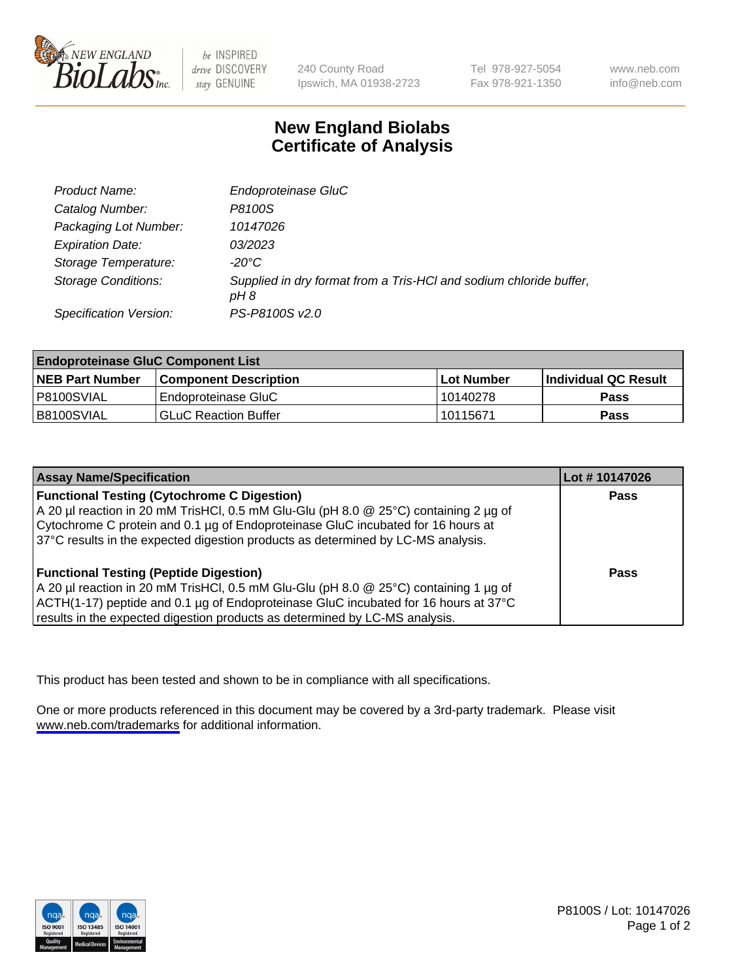

be INSPIRED drive DISCOVERY stay GENUINE

240 County Road Ipswich, MA 01938-2723 Tel 978-927-5054 Fax 978-921-1350

www.neb.com info@neb.com

## **New England Biolabs Certificate of Analysis**

| <b>Product Name:</b>       | Endoproteinase GluC                                                        |
|----------------------------|----------------------------------------------------------------------------|
| Catalog Number:            | P8100S                                                                     |
| Packaging Lot Number:      | 10147026                                                                   |
| <b>Expiration Date:</b>    | 03/2023                                                                    |
| Storage Temperature:       | $-20^{\circ}$ C                                                            |
| <b>Storage Conditions:</b> | Supplied in dry format from a Tris-HCI and sodium chloride buffer,<br>pH 8 |
| Specification Version:     | PS-P8100S v2.0                                                             |

| <b>Endoproteinase GluC Component List</b> |                             |            |                       |  |
|-------------------------------------------|-----------------------------|------------|-----------------------|--|
| <b>NEB Part Number</b>                    | Component Description_      | Lot Number | ∣Individual QC Result |  |
| P8100SVIAL                                | l Endoproteinase GluC       | 10140278   | Pass                  |  |
| B8100SVIAL                                | <b>GLuC Reaction Buffer</b> | 10115671   | Pass                  |  |

| <b>Assay Name/Specification</b>                                                        | Lot # 10147026 |
|----------------------------------------------------------------------------------------|----------------|
| <b>Functional Testing (Cytochrome C Digestion)</b>                                     | <b>Pass</b>    |
| A 20 µl reaction in 20 mM TrisHCl, 0.5 mM Glu-Glu (pH 8.0 $@$ 25°C) containing 2 µg of |                |
| Cytochrome C protein and 0.1 µg of Endoproteinase GluC incubated for 16 hours at       |                |
| 37°C results in the expected digestion products as determined by LC-MS analysis.       |                |
| <b>Functional Testing (Peptide Digestion)</b>                                          | <b>Pass</b>    |
| A 20 µl reaction in 20 mM TrisHCl, 0.5 mM Glu-Glu (pH 8.0 @ 25°C) containing 1 µg of   |                |
| ACTH(1-17) peptide and 0.1 µg of Endoproteinase GluC incubated for 16 hours at 37°C    |                |
| results in the expected digestion products as determined by LC-MS analysis.            |                |

This product has been tested and shown to be in compliance with all specifications.

One or more products referenced in this document may be covered by a 3rd-party trademark. Please visit <www.neb.com/trademarks>for additional information.